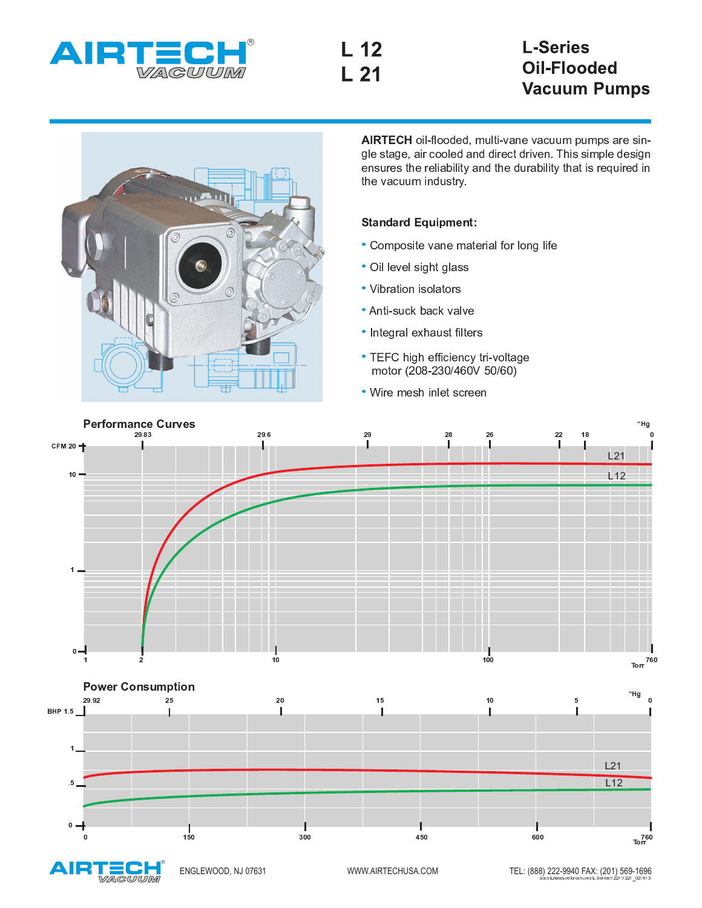

## **L-Series Oil-Flooded Vacuum Pumps**



AIRTECH oil-flooded, multi-vane vacuum pumps are single stage, air cooled and direct driven. This simple design ensures the reliability and the durability that is required in the vacuum industry.

## **Standard Equipment:**

- · Composite vane material for long life
- · Oil level sight glass
- Vibration isolators
- Anti-suck back valve
- Integral exhaust filters
- TEFC high efficiency tri-voltage motor (208-230/460V 50/60)
- Wire mesh inlet screen